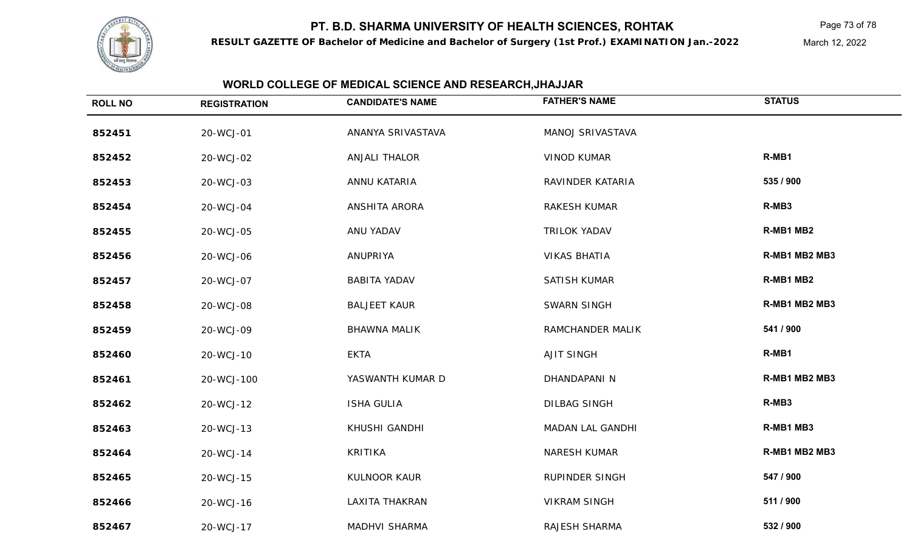**RESULT GAZETTE OF Bachelor of Medicine and Bachelor of Surgery (1st Prof.) EXAMINATION Jan.-2022**

Page 73 of 78

March 12, 2022

| <b>ROLL NO</b> | <b>REGISTRATION</b> | <b>CANDIDATE'S NAME</b> | <b>FATHER'S NAME</b>  | <b>STATUS</b> |
|----------------|---------------------|-------------------------|-----------------------|---------------|
| 852451         | 20-WCJ-01           | ANANYA SRIVASTAVA       | MANOJ SRIVASTAVA      |               |
| 852452         | 20-WCJ-02           | <b>ANJALI THALOR</b>    | <b>VINOD KUMAR</b>    | R-MB1         |
| 852453         | 20-WCJ-03           | ANNU KATARIA            | RAVINDER KATARIA      | 535 / 900     |
| 852454         | 20-WCJ-04           | ANSHITA ARORA           | RAKESH KUMAR          | R-MB3         |
| 852455         | 20-WCJ-05           | ANU YADAV               | <b>TRILOK YADAV</b>   | R-MB1 MB2     |
| 852456         | 20-WCJ-06           | ANUPRIYA                | <b>VIKAS BHATIA</b>   | R-MB1 MB2 MB3 |
| 852457         | 20-WCJ-07           | <b>BABITA YADAV</b>     | SATISH KUMAR          | R-MB1 MB2     |
| 852458         | 20-WCJ-08           | <b>BALJEET KAUR</b>     | <b>SWARN SINGH</b>    | R-MB1 MB2 MB3 |
| 852459         | 20-WCJ-09           | <b>BHAWNA MALIK</b>     | RAMCHANDER MALIK      | 541 / 900     |
| 852460         | 20-WCJ-10           | <b>EKTA</b>             | <b>AJIT SINGH</b>     | R-MB1         |
| 852461         | 20-WCJ-100          | YASWANTH KUMAR D        | DHANDAPANI N          | R-MB1 MB2 MB3 |
| 852462         | 20-WCJ-12           | <b>ISHA GULIA</b>       | <b>DILBAG SINGH</b>   | R-MB3         |
| 852463         | 20-WCJ-13           | KHUSHI GANDHI           | MADAN LAL GANDHI      | R-MB1 MB3     |
| 852464         | 20-WCJ-14           | <b>KRITIKA</b>          | <b>NARESH KUMAR</b>   | R-MB1 MB2 MB3 |
| 852465         | 20-WCJ-15           | KULNOOR KAUR            | <b>RUPINDER SINGH</b> | 547 / 900     |
| 852466         | 20-WCJ-16           | LAXITA THAKRAN          | <b>VIKRAM SINGH</b>   | 511 / 900     |
| 852467         | 20-WCJ-17           | <b>MADHVI SHARMA</b>    | RAJESH SHARMA         | 532 / 900     |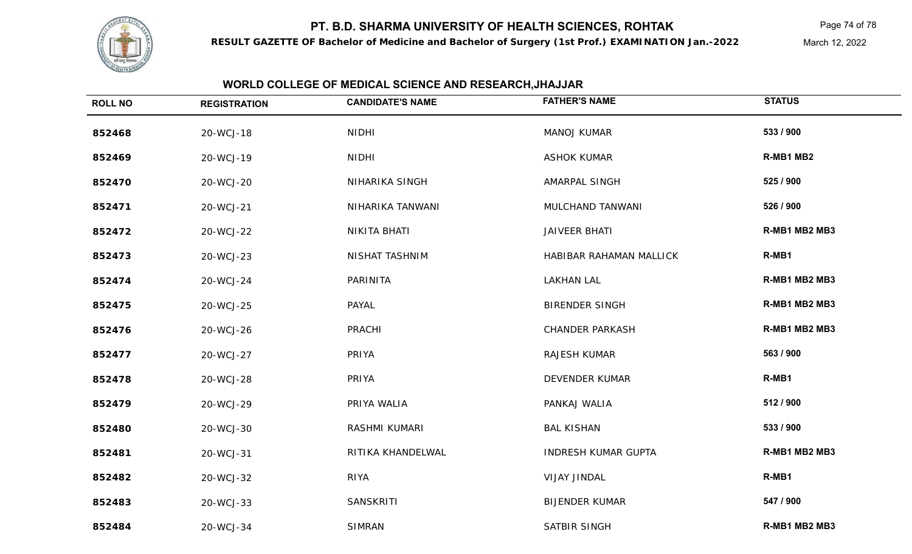

**RESULT GAZETTE OF Bachelor of Medicine and Bachelor of Surgery (1st Prof.) EXAMINATION Jan.-2022**

Page 74 of 78

March 12, 2022

| <b>ROLL NO</b> | <b>REGISTRATION</b> | <b>CANDIDATE'S NAME</b> | <b>FATHER'S NAME</b>       | <b>STATUS</b> |
|----------------|---------------------|-------------------------|----------------------------|---------------|
| 852468         | 20-WCJ-18           | <b>NIDHI</b>            | <b>MANOJ KUMAR</b>         | 533 / 900     |
| 852469         | 20-WCJ-19           | <b>NIDHI</b>            | <b>ASHOK KUMAR</b>         | R-MB1 MB2     |
| 852470         | 20-WCJ-20           | NIHARIKA SINGH          | AMARPAL SINGH              | 525 / 900     |
| 852471         | 20-WCJ-21           | NIHARIKA TANWANI        | MULCHAND TANWANI           | 526 / 900     |
| 852472         | 20-WCJ-22           | NIKITA BHATI            | <b>JAIVEER BHATI</b>       | R-MB1 MB2 MB3 |
| 852473         | 20-WCJ-23           | NISHAT TASHNIM          | HABIBAR RAHAMAN MALLICK    | R-MB1         |
| 852474         | 20-WCJ-24           | PARINITA                | <b>LAKHAN LAL</b>          | R-MB1 MB2 MB3 |
| 852475         | 20-WCJ-25           | PAYAL                   | <b>BIRENDER SINGH</b>      | R-MB1 MB2 MB3 |
| 852476         | 20-WCJ-26           | <b>PRACHI</b>           | <b>CHANDER PARKASH</b>     | R-MB1 MB2 MB3 |
| 852477         | 20-WCJ-27           | PRIYA                   | RAJESH KUMAR               | 563 / 900     |
| 852478         | 20-WCJ-28           | PRIYA                   | <b>DEVENDER KUMAR</b>      | R-MB1         |
| 852479         | 20-WCJ-29           | PRIYA WALIA             | PANKAJ WALIA               | 512 / 900     |
| 852480         | 20-WCJ-30           | RASHMI KUMARI           | <b>BAL KISHAN</b>          | 533 / 900     |
| 852481         | 20-WCJ-31           | RITIKA KHANDELWAL       | <b>INDRESH KUMAR GUPTA</b> | R-MB1 MB2 MB3 |
| 852482         | 20-WCJ-32           | <b>RIYA</b>             | VIJAY JINDAL               | R-MB1         |
| 852483         | 20-WCJ-33           | SANSKRITI               | <b>BIJENDER KUMAR</b>      | 547 / 900     |
| 852484         | 20-WCJ-34           | <b>SIMRAN</b>           | SATBIR SINGH               | R-MB1 MB2 MB3 |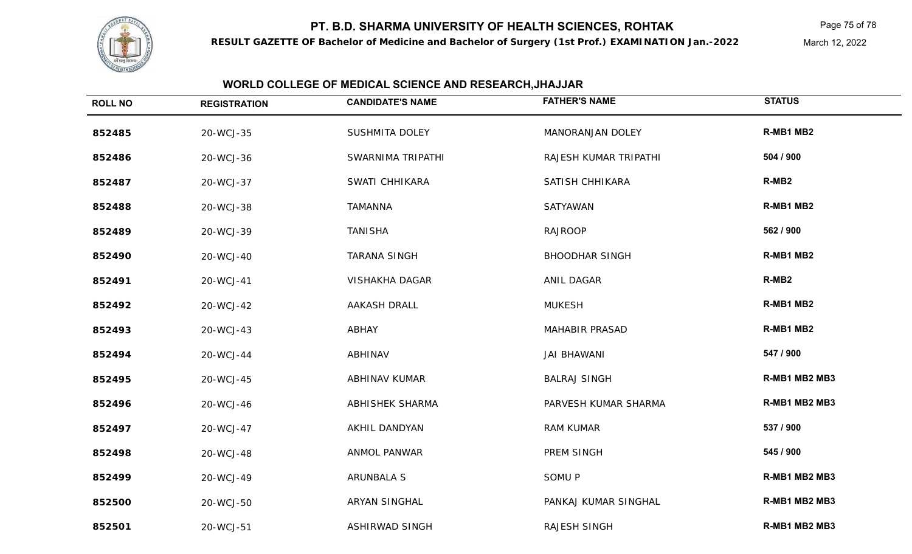

**RESULT GAZETTE OF Bachelor of Medicine and Bachelor of Surgery (1st Prof.) EXAMINATION Jan.-2022**

Page 75 of 78

March 12, 2022

| <b>ROLL NO</b> | <b>REGISTRATION</b> | <b>CANDIDATE'S NAME</b> | <b>FATHER'S NAME</b>  | <b>STATUS</b>     |
|----------------|---------------------|-------------------------|-----------------------|-------------------|
| 852485         | 20-WCJ-35           | <b>SUSHMITA DOLEY</b>   | MANORANJAN DOLEY      | R-MB1 MB2         |
| 852486         | 20-WCJ-36           | SWARNIMA TRIPATHI       | RAJESH KUMAR TRIPATHI | 504 / 900         |
| 852487         | 20-WCJ-37           | SWATI CHHIKARA          | SATISH CHHIKARA       | R-MB <sub>2</sub> |
| 852488         | 20-WCJ-38           | <b>TAMANNA</b>          | SATYAWAN              | R-MB1 MB2         |
| 852489         | 20-WCJ-39           | <b>TANISHA</b>          | <b>RAJROOP</b>        | 562 / 900         |
| 852490         | 20-WCJ-40           | <b>TARANA SINGH</b>     | <b>BHOODHAR SINGH</b> | R-MB1 MB2         |
| 852491         | 20-WCJ-41           | VISHAKHA DAGAR          | ANIL DAGAR            | R-MB <sub>2</sub> |
| 852492         | 20-WCJ-42           | AAKASH DRALL            | <b>MUKESH</b>         | R-MB1 MB2         |
| 852493         | 20-WCJ-43           | ABHAY                   | <b>MAHABIR PRASAD</b> | R-MB1 MB2         |
| 852494         | 20-WCJ-44           | ABHINAV                 | <b>JAI BHAWANI</b>    | 547 / 900         |
| 852495         | 20-WCJ-45           | ABHINAV KUMAR           | <b>BALRAJ SINGH</b>   | R-MB1 MB2 MB3     |
| 852496         | 20-WCJ-46           | ABHISHEK SHARMA         | PARVESH KUMAR SHARMA  | R-MB1 MB2 MB3     |
| 852497         | 20-WCJ-47           | AKHIL DANDYAN           | <b>RAM KUMAR</b>      | 537 / 900         |
| 852498         | 20-WCJ-48           | ANMOL PANWAR            | PREM SINGH            | 545 / 900         |
| 852499         | 20-WCJ-49           | <b>ARUNBALA S</b>       | SOMU P                | R-MB1 MB2 MB3     |
| 852500         | 20-WCJ-50           | ARYAN SINGHAL           | PANKAJ KUMAR SINGHAL  | R-MB1 MB2 MB3     |
| 852501         | 20-WCJ-51           | <b>ASHIRWAD SINGH</b>   | <b>RAJESH SINGH</b>   | R-MB1 MB2 MB3     |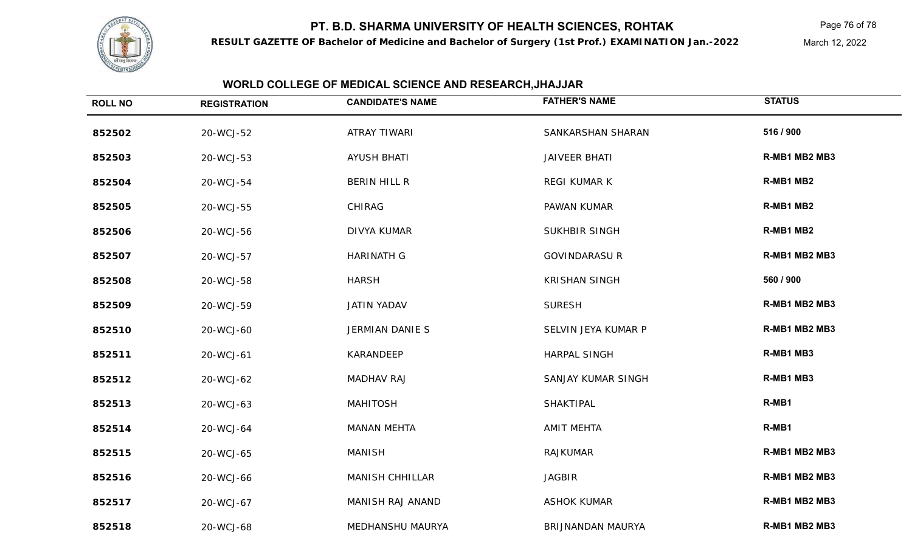

**RESULT GAZETTE OF Bachelor of Medicine and Bachelor of Surgery (1st Prof.) EXAMINATION Jan.-2022**

Page 76 of 78

March 12, 2022

| <b>ROLL NO</b> | <b>REGISTRATION</b> | <b>CANDIDATE'S NAME</b> | <b>FATHER'S NAME</b> | <b>STATUS</b> |
|----------------|---------------------|-------------------------|----------------------|---------------|
| 852502         | 20-WCJ-52           | <b>ATRAY TIWARI</b>     | SANKARSHAN SHARAN    | 516 / 900     |
| 852503         | 20-WCJ-53           | <b>AYUSH BHATI</b>      | <b>JAIVEER BHATI</b> | R-MB1 MB2 MB3 |
| 852504         | 20-WCJ-54           | BERIN HILL R            | REGI KUMAR K         | R-MB1 MB2     |
| 852505         | 20-WCJ-55           | <b>CHIRAG</b>           | PAWAN KUMAR          | R-MB1 MB2     |
| 852506         | 20-WCJ-56           | <b>DIVYA KUMAR</b>      | <b>SUKHBIR SINGH</b> | R-MB1 MB2     |
| 852507         | 20-WCJ-57           | <b>HARINATH G</b>       | <b>GOVINDARASU R</b> | R-MB1 MB2 MB3 |
| 852508         | 20-WCJ-58           | <b>HARSH</b>            | <b>KRISHAN SINGH</b> | 560 / 900     |
| 852509         | 20-WCJ-59           | <b>JATIN YADAV</b>      | <b>SURESH</b>        | R-MB1 MB2 MB3 |
| 852510         | 20-WCJ-60           | <b>JERMIAN DANIE S</b>  | SELVIN JEYA KUMAR P  | R-MB1 MB2 MB3 |
| 852511         | 20-WCJ-61           | KARANDEEP               | HARPAL SINGH         | R-MB1 MB3     |
| 852512         | 20-WCJ-62           | <b>MADHAV RAJ</b>       | SANJAY KUMAR SINGH   | R-MB1 MB3     |
| 852513         | 20-WCJ-63           | <b>MAHITOSH</b>         | SHAKTIPAL            | R-MB1         |
| 852514         | 20-WCJ-64           | <b>MANAN MEHTA</b>      | <b>AMIT MEHTA</b>    | R-MB1         |
| 852515         | 20-WCJ-65           | <b>MANISH</b>           | <b>RAJKUMAR</b>      | R-MB1 MB2 MB3 |
| 852516         | 20-WCJ-66           | <b>MANISH CHHILLAR</b>  | <b>JAGBIR</b>        | R-MB1 MB2 MB3 |
| 852517         | 20-WCJ-67           | MANISH RAJ ANAND        | <b>ASHOK KUMAR</b>   | R-MB1 MB2 MB3 |
| 852518         | 20-WCJ-68           | MEDHANSHU MAURYA        | BRIJNANDAN MAURYA    | R-MB1 MB2 MB3 |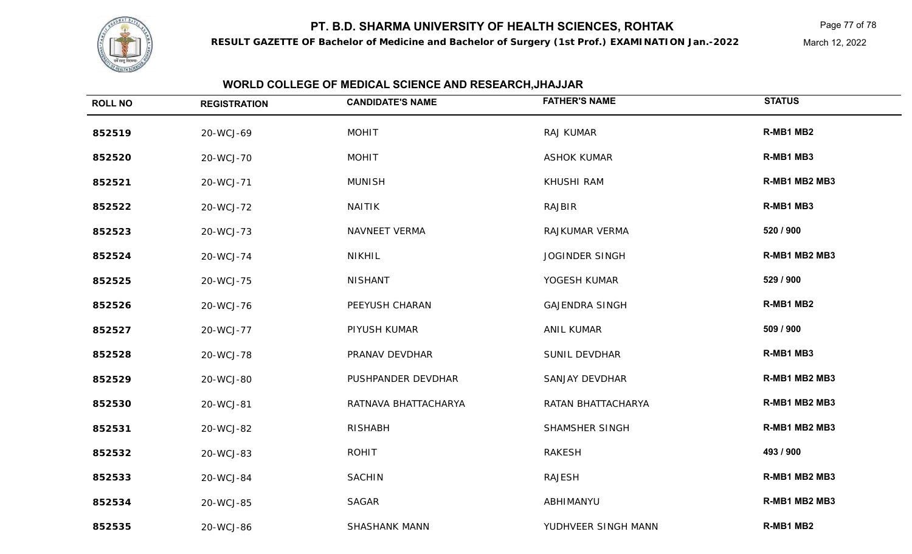

**RESULT GAZETTE OF Bachelor of Medicine and Bachelor of Surgery (1st Prof.) EXAMINATION Jan.-2022**

Page 77 of 78

March 12, 2022

| <b>ROLL NO</b> | <b>REGISTRATION</b> | <b>CANDIDATE'S NAME</b> | <b>FATHER'S NAME</b>  | <b>STATUS</b> |
|----------------|---------------------|-------------------------|-----------------------|---------------|
| 852519         | 20-WCJ-69           | <b>MOHIT</b>            | RAJ KUMAR             | R-MB1 MB2     |
| 852520         | 20-WCJ-70           | <b>MOHIT</b>            | <b>ASHOK KUMAR</b>    | R-MB1 MB3     |
| 852521         | 20-WCJ-71           | <b>MUNISH</b>           | <b>KHUSHI RAM</b>     | R-MB1 MB2 MB3 |
| 852522         | 20-WCJ-72           | <b>NAITIK</b>           | RAJBIR                | R-MB1 MB3     |
| 852523         | 20-WCJ-73           | NAVNEET VERMA           | RAJKUMAR VERMA        | 520 / 900     |
| 852524         | 20-WCJ-74           | <b>NIKHIL</b>           | <b>JOGINDER SINGH</b> | R-MB1 MB2 MB3 |
| 852525         | 20-WCJ-75           | <b>NISHANT</b>          | YOGESH KUMAR          | 529 / 900     |
| 852526         | 20-WCJ-76           | PEEYUSH CHARAN          | <b>GAJENDRA SINGH</b> | R-MB1 MB2     |
| 852527         | 20-WCJ-77           | PIYUSH KUMAR            | <b>ANIL KUMAR</b>     | 509 / 900     |
| 852528         | 20-WCJ-78           | PRANAV DEVDHAR          | SUNIL DEVDHAR         | R-MB1 MB3     |
| 852529         | 20-WCJ-80           | PUSHPANDER DEVDHAR      | SANJAY DEVDHAR        | R-MB1 MB2 MB3 |
| 852530         | 20-WCJ-81           | RATNAVA BHATTACHARYA    | RATAN BHATTACHARYA    | R-MB1 MB2 MB3 |
| 852531         | 20-WCJ-82           | <b>RISHABH</b>          | SHAMSHER SINGH        | R-MB1 MB2 MB3 |
| 852532         | 20-WCJ-83           | <b>ROHIT</b>            | <b>RAKESH</b>         | 493 / 900     |
| 852533         | 20-WCJ-84           | <b>SACHIN</b>           | <b>RAJESH</b>         | R-MB1 MB2 MB3 |
| 852534         | 20-WCJ-85           | <b>SAGAR</b>            | ABHIMANYU             | R-MB1 MB2 MB3 |
| 852535         | 20-WCJ-86           | <b>SHASHANK MANN</b>    | YUDHVEER SINGH MANN   | R-MB1 MB2     |